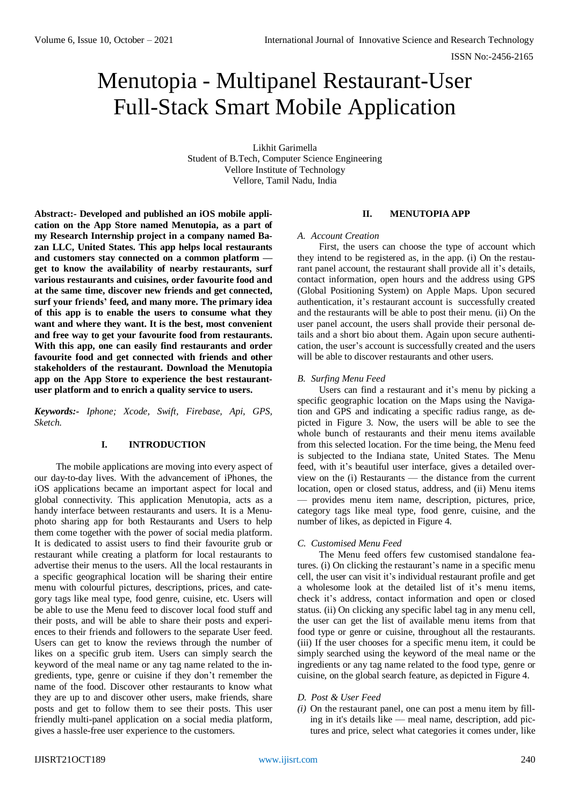ISSN No:-2456-2165

# Menutopia - Multipanel Restaurant-User Full-Stack Smart Mobile Application

Likhit Garimella Student of B.Tech, Computer Science Engineering Vellore Institute of Technology Vellore, Tamil Nadu, India

**Abstract:- Developed and published an iOS mobile application on the App Store named Menutopia, as a part of my Research Internship project in a company named Bazan LLC, United States. This app helps local restaurants and customers stay connected on a common platform get to know the availability of nearby restaurants, surf various restaurants and cuisines, order favourite food and at the same time, discover new friends and get connected, surf your friends' feed, and many more. The primary idea of this app is to enable the users to consume what they want and where they want. It is the best, most convenient and free way to get your favourite food from restaurants. With this app, one can easily find restaurants and order favourite food and get connected with friends and other stakeholders of the restaurant. Download the Menutopia app on the App Store to experience the best restaurantuser platform and to enrich a quality service to users.**

*Keywords:- Iphone; Xcode, Swift, Firebase, Api, GPS, Sketch.*

#### **I. INTRODUCTION**

The mobile applications are moving into every aspect of our day-to-day lives. With the advancement of iPhones, the iOS applications became an important aspect for local and global connectivity. This application Menutopia, acts as a handy interface between restaurants and users. It is a Menuphoto sharing app for both Restaurants and Users to help them come together with the power of social media platform. It is dedicated to assist users to find their favourite grub or restaurant while creating a platform for local restaurants to advertise their menus to the users. All the local restaurants in a specific geographical location will be sharing their entire menu with colourful pictures, descriptions, prices, and category tags like meal type, food genre, cuisine, etc. Users will be able to use the Menu feed to discover local food stuff and their posts, and will be able to share their posts and experiences to their friends and followers to the separate User feed. Users can get to know the reviews through the number of likes on a specific grub item. Users can simply search the keyword of the meal name or any tag name related to the ingredients, type, genre or cuisine if they don't remember the name of the food. Discover other restaurants to know what they are up to and discover other users, make friends, share posts and get to follow them to see their posts. This user friendly multi-panel application on a social media platform, gives a hassle-free user experience to the customers.

#### **II. MENUTOPIA APP**

#### *A. Account Creation*

First, the users can choose the type of account which they intend to be registered as, in the app. (i) On the restaurant panel account, the restaurant shall provide all it's details, contact information, open hours and the address using GPS (Global Positioning System) on Apple Maps. Upon secured authentication, it's restaurant account is successfully created and the restaurants will be able to post their menu. (ii) On the user panel account, the users shall provide their personal details and a short bio about them. Again upon secure authentication, the user's account is successfully created and the users will be able to discover restaurants and other users.

#### *B. Surfing Menu Feed*

Users can find a restaurant and it's menu by picking a specific geographic location on the Maps using the Navigation and GPS and indicating a specific radius range, as depicted in Figure 3. Now, the users will be able to see the whole bunch of restaurants and their menu items available from this selected location. For the time being, the Menu feed is subjected to the Indiana state, United States. The Menu feed, with it's beautiful user interface, gives a detailed overview on the (i) Restaurants — the distance from the current location, open or closed status, address, and (ii) Menu items — provides menu item name, description, pictures, price, category tags like meal type, food genre, cuisine, and the number of likes, as depicted in Figure 4.

## *C. Customised Menu Feed*

The Menu feed offers few customised standalone features. (i) On clicking the restaurant's name in a specific menu cell, the user can visit it's individual restaurant profile and get a wholesome look at the detailed list of it's menu items, check it's address, contact information and open or closed status. (ii) On clicking any specific label tag in any menu cell, the user can get the list of available menu items from that food type or genre or cuisine, throughout all the restaurants. (iii) If the user chooses for a specific menu item, it could be simply searched using the keyword of the meal name or the ingredients or any tag name related to the food type, genre or cuisine, on the global search feature, as depicted in Figure 4.

#### *D. Post & User Feed*

*(i)* On the restaurant panel, one can post a menu item by filling in it's details like — meal name, description, add pictures and price, select what categories it comes under, like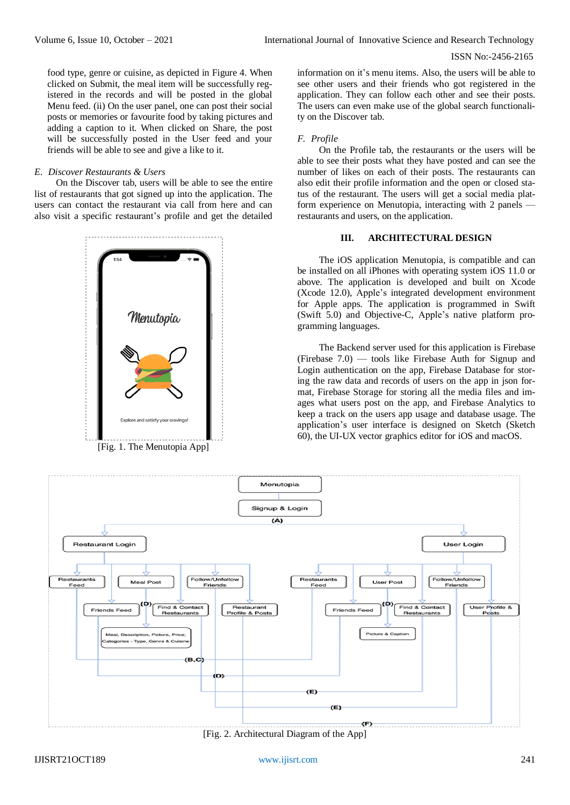ISSN No:-2456-2165

food type, genre or cuisine, as depicted in Figure 4. When clicked on Submit, the meal item will be successfully registered in the records and will be posted in the global Menu feed. (ii) On the user panel, one can post their social posts or memories or favourite food by taking pictures and adding a caption to it. When clicked on Share, the post will be successfully posted in the User feed and your friends will be able to see and give a like to it.

#### *E. Discover Restaurants & Users*

On the Discover tab, users will be able to see the entire list of restaurants that got signed up into the application. The users can contact the restaurant via call from here and can also visit a specific restaurant's profile and get the detailed



[Fig. 1. The Menutopia App]

information on it's menu items. Also, the users will be able to see other users and their friends who got registered in the application. They can follow each other and see their posts. The users can even make use of the global search functionality on the Discover tab.

### *F. Profile*

On the Profile tab, the restaurants or the users will be able to see their posts what they have posted and can see the number of likes on each of their posts. The restaurants can also edit their profile information and the open or closed status of the restaurant. The users will get a social media platform experience on Menutopia, interacting with 2 panels restaurants and users, on the application.

#### **III. ARCHITECTURAL DESIGN**

The iOS application Menutopia, is compatible and can be installed on all iPhones with operating system iOS 11.0 or above. The application is developed and built on Xcode (Xcode 12.0), Apple's integrated development environment for Apple apps. The application is programmed in Swift (Swift 5.0) and Objective-C, Apple's native platform programming languages.

The Backend server used for this application is Firebase (Firebase 7.0) — tools like Firebase Auth for Signup and Login authentication on the app, Firebase Database for storing the raw data and records of users on the app in json format, Firebase Storage for storing all the media files and images what users post on the app, and Firebase Analytics to keep a track on the users app usage and database usage. The application's user interface is designed on Sketch (Sketch 60), the UI-UX vector graphics editor for iOS and macOS.



[Fig. 2. Architectural Diagram of the App]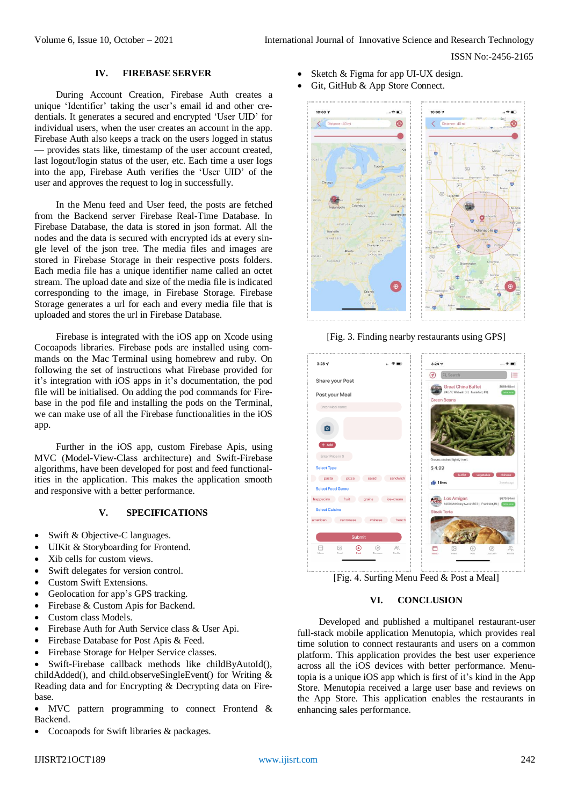ISSN No:-2456-2165

#### **IV. FIREBASE SERVER**

During Account Creation, Firebase Auth creates a unique 'Identifier' taking the user's email id and other credentials. It generates a secured and encrypted 'User UID' for individual users, when the user creates an account in the app. Firebase Auth also keeps a track on the users logged in status — provides stats like, timestamp of the user account created, last logout/login status of the user, etc. Each time a user logs into the app, Firebase Auth verifies the 'User UID' of the user and approves the request to log in successfully.

In the Menu feed and User feed, the posts are fetched from the Backend server Firebase Real-Time Database. In Firebase Database, the data is stored in json format. All the nodes and the data is secured with encrypted ids at every single level of the json tree. The media files and images are stored in Firebase Storage in their respective posts folders. Each media file has a unique identifier name called an octet stream. The upload date and size of the media file is indicated corresponding to the image, in Firebase Storage. Firebase Storage generates a url for each and every media file that is uploaded and stores the url in Firebase Database.

Firebase is integrated with the iOS app on Xcode using Cocoapods libraries. Firebase pods are installed using commands on the Mac Terminal using homebrew and ruby. On following the set of instructions what Firebase provided for it's integration with iOS apps in it's documentation, the pod file will be initialised. On adding the pod commands for Firebase in the pod file and installing the pods on the Terminal, we can make use of all the Firebase functionalities in the iOS app.

Further in the iOS app, custom Firebase Apis, using MVC (Model-View-Class architecture) and Swift-Firebase algorithms, have been developed for post and feed functionalities in the application. This makes the application smooth and responsive with a better performance.

#### **V. SPECIFICATIONS**

- Swift & Objective-C languages.
- UIKit & Storyboarding for Frontend.
- Xib cells for custom views.
- Swift delegates for version control.
- Custom Swift Extensions.
- Geolocation for app's GPS tracking.
- Firebase & Custom Apis for Backend.
- Custom class Models.
- Firebase Auth for Auth Service class & User Api.
- Firebase Database for Post Apis & Feed.
- Firebase Storage for Helper Service classes.

 Swift-Firebase callback methods like childByAutoId(), childAdded(), and child.observeSingleEvent() for Writing & Reading data and for Encrypting & Decrypting data on Firebase.

 MVC pattern programming to connect Frontend & Backend.

Cocoapods for Swift libraries & packages.

- Sketch & Figma for app UI-UX design.
- Git, GitHub & App Store Connect.



[Fig. 3. Finding nearby restaurants using GPS]



[Fig. 4. Surfing Menu Feed & Post a Meal]

## **VI. CONCLUSION**

Developed and published a multipanel restaurant-user full-stack mobile application Menutopia, which provides real time solution to connect restaurants and users on a common platform. This application provides the best user experience across all the iOS devices with better performance. Menutopia is a unique iOS app which is first of it's kind in the App Store. Menutopia received a large user base and reviews on the App Store. This application enables the restaurants in enhancing sales performance.